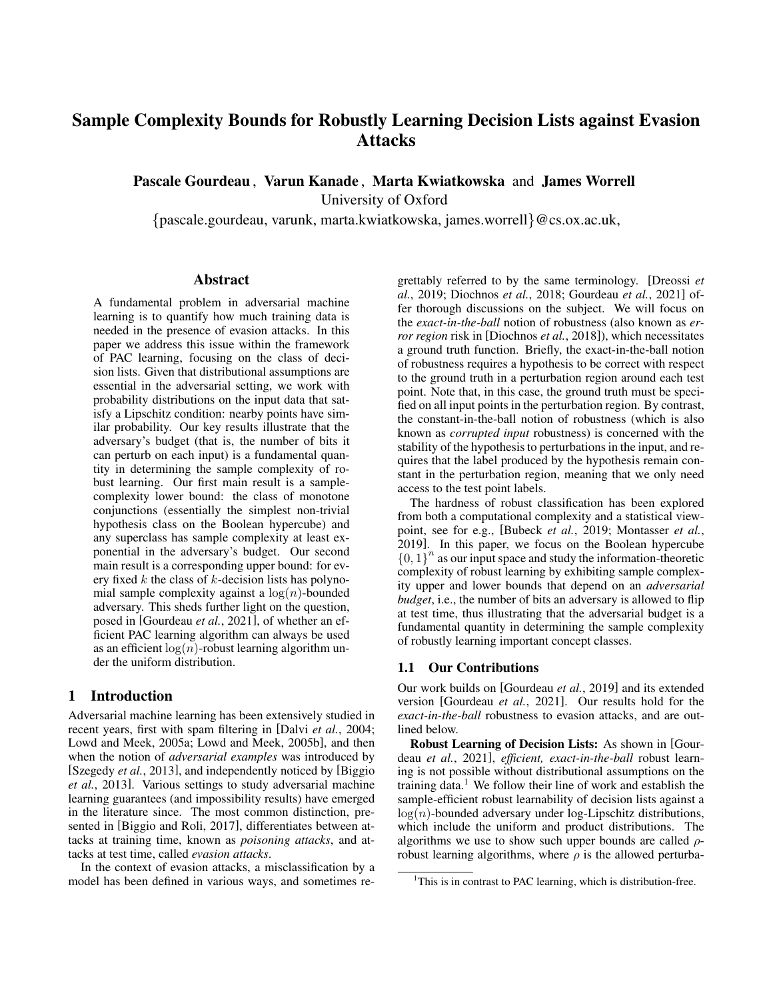# Sample Complexity Bounds for Robustly Learning Decision Lists against Evasion Attacks

Pascale Gourdeau , Varun Kanade , Marta Kwiatkowska and James Worrell

University of Oxford

{pascale.gourdeau, varunk, marta.kwiatkowska, james.worrell}@cs.ox.ac.uk,

### Abstract

A fundamental problem in adversarial machine learning is to quantify how much training data is needed in the presence of evasion attacks. In this paper we address this issue within the framework of PAC learning, focusing on the class of decision lists. Given that distributional assumptions are essential in the adversarial setting, we work with probability distributions on the input data that satisfy a Lipschitz condition: nearby points have similar probability. Our key results illustrate that the adversary's budget (that is, the number of bits it can perturb on each input) is a fundamental quantity in determining the sample complexity of robust learning. Our first main result is a samplecomplexity lower bound: the class of monotone conjunctions (essentially the simplest non-trivial hypothesis class on the Boolean hypercube) and any superclass has sample complexity at least exponential in the adversary's budget. Our second main result is a corresponding upper bound: for every fixed  $k$  the class of  $k$ -decision lists has polynomial sample complexity against a  $log(n)$ -bounded adversary. This sheds further light on the question, posed in [\[Gourdeau](#page-6-0) *et al.*, 2021], of whether an efficient PAC learning algorithm can always be used as an efficient  $log(n)$ -robust learning algorithm under the uniform distribution.

# 1 Introduction

Adversarial machine learning has been extensively studied in recent years, first with spam filtering in [Dalvi *et al.*[, 2004;](#page-6-1) [Lowd and Meek, 2005a;](#page-6-2) [Lowd and Meek, 2005b\]](#page-6-3), and then when the notion of *adversarial examples* was introduced by [\[Szegedy](#page-6-4) *et al.*, 2013], and independently noticed by [\[Biggio](#page-6-5) *et al.*[, 2013\]](#page-6-5). Various settings to study adversarial machine learning guarantees (and impossibility results) have emerged in the literature since. The most common distinction, presented in [\[Biggio and Roli, 2017\]](#page-5-0), differentiates between attacks at training time, known as *poisoning attacks*, and attacks at test time, called *evasion attacks*.

In the context of evasion attacks, a misclassification by a model has been defined in various ways, and sometimes regrettably referred to by the same terminology. [\[Dreossi](#page-6-6) *et al.*[, 2019;](#page-6-6) [Diochnos](#page-6-7) *et al.*, 2018; [Gourdeau](#page-6-0) *et al.*, 2021] offer thorough discussions on the subject. We will focus on the *exact-in-the-ball* notion of robustness (also known as *error region* risk in [\[Diochnos](#page-6-7) *et al.*, 2018]), which necessitates a ground truth function. Briefly, the exact-in-the-ball notion of robustness requires a hypothesis to be correct with respect to the ground truth in a perturbation region around each test point. Note that, in this case, the ground truth must be specified on all input points in the perturbation region. By contrast, the constant-in-the-ball notion of robustness (which is also known as *corrupted input* robustness) is concerned with the stability of the hypothesis to perturbations in the input, and requires that the label produced by the hypothesis remain constant in the perturbation region, meaning that we only need access to the test point labels.

The hardness of robust classification has been explored from both a computational complexity and a statistical viewpoint, see for e.g., [\[Bubeck](#page-6-8) *et al.*, 2019; [Montasser](#page-6-9) *et al.*, [2019\]](#page-6-9). In this paper, we focus on the Boolean hypercube  ${0, 1}^n$  as our input space and study the information-theoretic complexity of robust learning by exhibiting sample complexity upper and lower bounds that depend on an *adversarial budget*, i.e., the number of bits an adversary is allowed to flip at test time, thus illustrating that the adversarial budget is a fundamental quantity in determining the sample complexity of robustly learning important concept classes.

### 1.1 Our Contributions

Our work builds on [\[Gourdeau](#page-6-10) *et al.*, 2019] and its extended version [\[Gourdeau](#page-6-0) *et al.*, 2021]. Our results hold for the *exact-in-the-ball* robustness to evasion attacks, and are outlined below.

Robust Learning of Decision Lists: As shown in [\[Gour](#page-6-0)deau *et al.*[, 2021\]](#page-6-0), *efficient, exact-in-the-ball* robust learning is not possible without distributional assumptions on the training data.<sup>[1](#page-0-0)</sup> We follow their line of work and establish the sample-efficient robust learnability of decision lists against a  $log(n)$ -bounded adversary under log-Lipschitz distributions, which include the uniform and product distributions. The algorithms we use to show such upper bounds are called  $\rho$ robust learning algorithms, where  $\rho$  is the allowed perturba-

<span id="page-0-0"></span><sup>&</sup>lt;sup>1</sup>This is in contrast to PAC learning, which is distribution-free.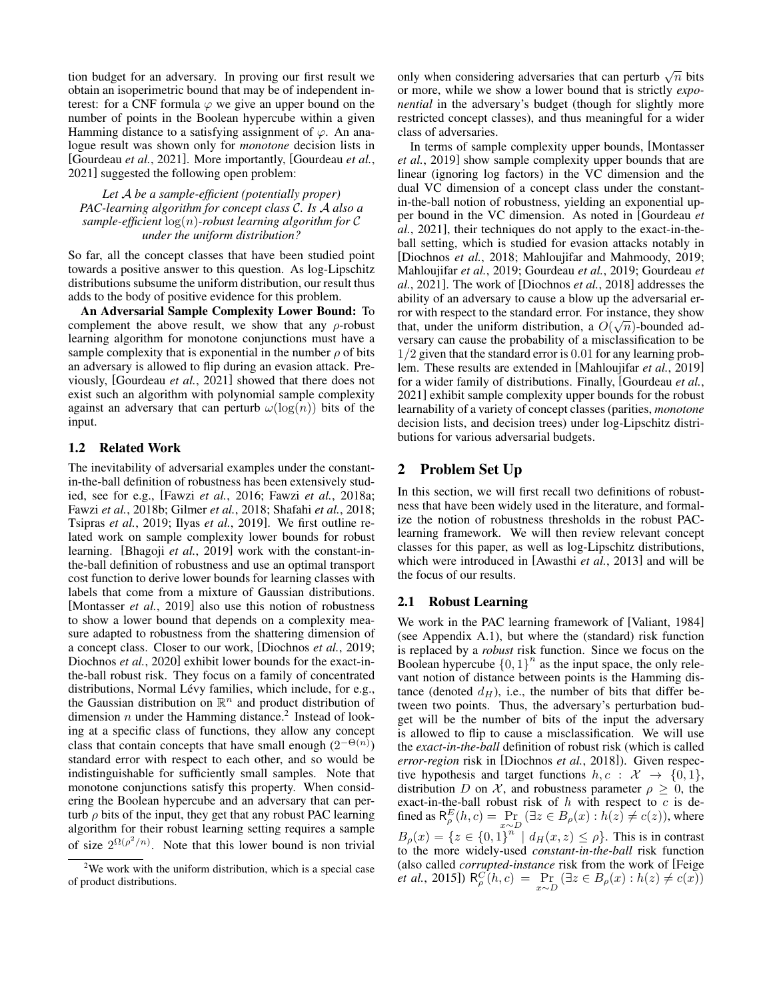tion budget for an adversary. In proving our first result we obtain an isoperimetric bound that may be of independent interest: for a CNF formula  $\varphi$  we give an upper bound on the number of points in the Boolean hypercube within a given Hamming distance to a satisfying assignment of  $\varphi$ . An analogue result was shown only for *monotone* decision lists in [\[Gourdeau](#page-6-0) *et al.*, 2021]. More importantly, [\[Gourdeau](#page-6-0) *et al.*, [2021\]](#page-6-0) suggested the following open problem:

### *Let* A *be a sample-efficient (potentially proper) PAC-learning algorithm for concept class* C*. Is* A *also a sample-efficient* log(n)*-robust learning algorithm for* C *under the uniform distribution?*

So far, all the concept classes that have been studied point towards a positive answer to this question. As log-Lipschitz distributions subsume the uniform distribution, our result thus adds to the body of positive evidence for this problem.

An Adversarial Sample Complexity Lower Bound: To complement the above result, we show that any  $\rho$ -robust learning algorithm for monotone conjunctions must have a sample complexity that is exponential in the number  $\rho$  of bits an adversary is allowed to flip during an evasion attack. Previously, [\[Gourdeau](#page-6-0) *et al.*, 2021] showed that there does not exist such an algorithm with polynomial sample complexity against an adversary that can perturb  $\omega(\log(n))$  bits of the input.

#### 1.2 Related Work

The inevitability of adversarial examples under the constantin-the-ball definition of robustness has been extensively studied, see for e.g., [Fawzi *et al.*[, 2016;](#page-6-11) Fawzi *et al.*[, 2018a;](#page-6-12) Fawzi *et al.*[, 2018b;](#page-6-13) [Gilmer](#page-6-14) *et al.*, 2018; [Shafahi](#page-6-15) *et al.*, 2018; [Tsipras](#page-6-16) *et al.*, 2019; Ilyas *et al.*[, 2019\]](#page-6-17). We first outline related work on sample complexity lower bounds for robust learning. [\[Bhagoji](#page-5-1) *et al.*, 2019] work with the constant-inthe-ball definition of robustness and use an optimal transport cost function to derive lower bounds for learning classes with labels that come from a mixture of Gaussian distributions. [\[Montasser](#page-6-9) *et al.*, 2019] also use this notion of robustness to show a lower bound that depends on a complexity measure adapted to robustness from the shattering dimension of a concept class. Closer to our work, [\[Diochnos](#page-6-18) *et al.*, 2019; [Diochnos](#page-6-19) *et al.*, 2020] exhibit lower bounds for the exact-inthe-ball robust risk. They focus on a family of concentrated distributions, Normal Lévy families, which include, for e.g., the Gaussian distribution on  $\mathbb{R}^n$  and product distribution of dimension  $n$  under the Hamming distance.<sup>[2](#page-1-0)</sup> Instead of looking at a specific class of functions, they allow any concept class that contain concepts that have small enough  $(2^{-\Theta(n)})$ standard error with respect to each other, and so would be indistinguishable for sufficiently small samples. Note that monotone conjunctions satisfy this property. When considering the Boolean hypercube and an adversary that can perturb  $\rho$  bits of the input, they get that any robust PAC learning algorithm for their robust learning setting requires a sample of size  $2^{\Omega(\rho^2/n)}$ . Note that this lower bound is non trivial

only when considering adversaries that can perturb  $\sqrt{n}$  bits or more, while we show a lower bound that is strictly *exponential* in the adversary's budget (though for slightly more restricted concept classes), and thus meaningful for a wider class of adversaries.

In terms of sample complexity upper bounds, [\[Montasser](#page-6-9) *et al.*[, 2019\]](#page-6-9) show sample complexity upper bounds that are linear (ignoring log factors) in the VC dimension and the dual VC dimension of a concept class under the constantin-the-ball notion of robustness, yielding an exponential upper bound in the VC dimension. As noted in [\[Gourdeau](#page-6-0) *et al.*[, 2021\]](#page-6-0), their techniques do not apply to the exact-in-theball setting, which is studied for evasion attacks notably in [\[Diochnos](#page-6-7) *et al.*, 2018; [Mahloujifar and Mahmoody, 2019;](#page-6-20) [Mahloujifar](#page-6-21) *et al.*, 2019; [Gourdeau](#page-6-10) *et al.*, 2019; [Gourdeau](#page-6-0) *et al.*[, 2021\]](#page-6-0). The work of [\[Diochnos](#page-6-7) *et al.*, 2018] addresses the ability of an adversary to cause a blow up the adversarial erfor with respect to the standard error. For instance, they show that, under the uniform distribution, a  $O(\sqrt{n})$ -bounded adversary can cause the probability of a misclassification to be 1/2 given that the standard error is 0.01 for any learning problem. These results are extended in [\[Mahloujifar](#page-6-21) *et al.*, 2019] for a wider family of distributions. Finally, [\[Gourdeau](#page-6-0) *et al.*, [2021\]](#page-6-0) exhibit sample complexity upper bounds for the robust learnability of a variety of concept classes (parities, *monotone* decision lists, and decision trees) under log-Lipschitz distributions for various adversarial budgets.

# 2 Problem Set Up

In this section, we will first recall two definitions of robustness that have been widely used in the literature, and formalize the notion of robustness thresholds in the robust PAClearning framework. We will then review relevant concept classes for this paper, as well as log-Lipschitz distributions, which were introduced in [\[Awasthi](#page-5-2) *et al.*, 2013] and will be the focus of our results.

#### 2.1 Robust Learning

We work in the PAC learning framework of [\[Valiant, 1984\]](#page-6-22) (see Appendix [A.1\)](#page-7-0), but where the (standard) risk function is replaced by a *robust* risk function. Since we focus on the Boolean hypercube  ${0, 1}^n$  as the input space, the only relevant notion of distance between points is the Hamming distance (denoted  $d_H$ ), i.e., the number of bits that differ between two points. Thus, the adversary's perturbation budget will be the number of bits of the input the adversary is allowed to flip to cause a misclassification. We will use the *exact-in-the-ball* definition of robust risk (which is called *error-region* risk in [\[Diochnos](#page-6-7) *et al.*, 2018]). Given respective hypothesis and target functions  $h, c : \mathcal{X} \to \{0, 1\},\$ distribution D on X, and robustness parameter  $\rho > 0$ , the exact-in-the-ball robust risk of  $h$  with respect to  $c$  is defined as  $R_{\rho}^{E}(h, c) = \Pr_{x \sim D} (\exists z \in B_{\rho}(x) : h(z) \neq c(z))$ , where  $B_{\rho}(x) = \{z \in \{0,1\}^{n} \mid d_H(x,z) \leq \rho\}$ . This is in contrast to the more widely-used *constant-in-the-ball* risk function (also called *corrupted-instance* risk from the work of [\[Feige](#page-6-23) *et al.*[, 2015\]](#page-6-23))  $R_{\rho}^{C}(h, c) = \Pr_{x \sim D} (\exists z \in B_{\rho}(x) : h(z) \neq c(x))$ 

<span id="page-1-0"></span> $2$ We work with the uniform distribution, which is a special case of product distributions.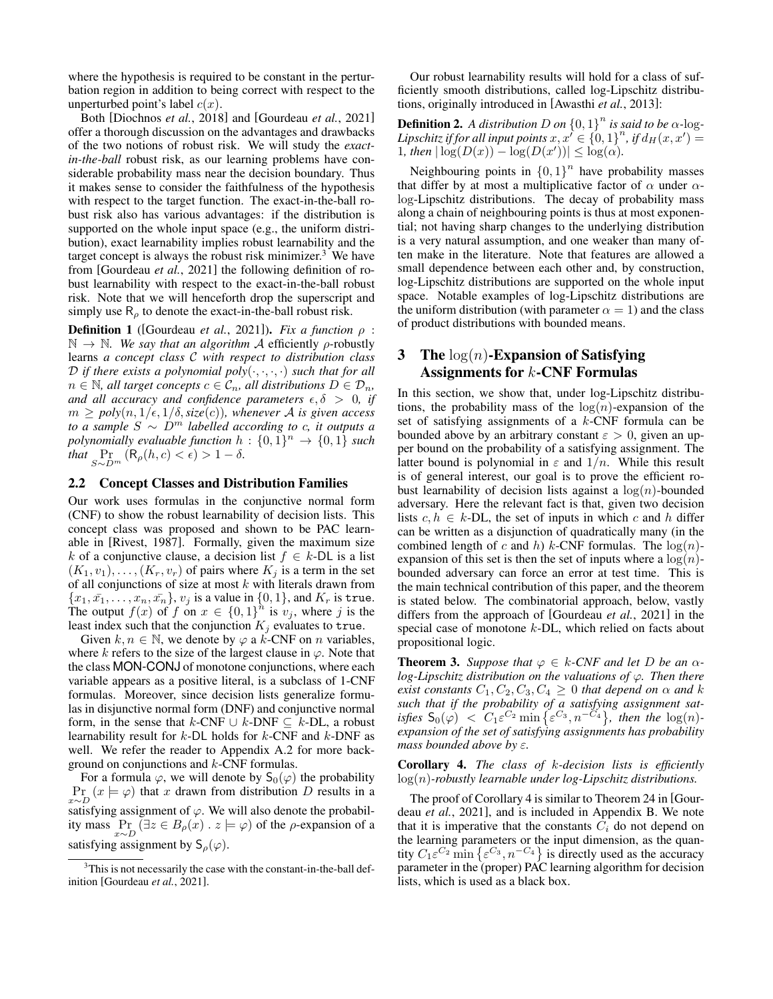where the hypothesis is required to be constant in the perturbation region in addition to being correct with respect to the unperturbed point's label  $c(x)$ .

Both [\[Diochnos](#page-6-7) *et al.*, 2018] and [\[Gourdeau](#page-6-0) *et al.*, 2021] offer a thorough discussion on the advantages and drawbacks of the two notions of robust risk. We will study the *exactin-the-ball* robust risk, as our learning problems have considerable probability mass near the decision boundary. Thus it makes sense to consider the faithfulness of the hypothesis with respect to the target function. The exact-in-the-ball robust risk also has various advantages: if the distribution is supported on the whole input space (e.g., the uniform distribution), exact learnability implies robust learnability and the target concept is always the robust risk minimizer.<sup>[3](#page-2-0)</sup> We have from [\[Gourdeau](#page-6-0) *et al.*, 2021] the following definition of robust learnability with respect to the exact-in-the-ball robust risk. Note that we will henceforth drop the superscript and simply use  $R_{\rho}$  to denote the exact-in-the-ball robust risk.

**Definition 1** ([\[Gourdeau](#page-6-0) *et al.*, 2021]). *Fix a function*  $\rho$  :  $\mathbb{N} \to \mathbb{N}$ *. We say that an algorithm A* efficiently  $\rho$ -robustly learns *a concept class* C *with respect to distribution class*  $D$  *if there exists a polynomial poly* $(\cdot, \cdot, \cdot, \cdot)$  *such that for all*  $n \in \mathbb{N}$ , all target concepts  $c \in \mathcal{C}_n$ , all distributions  $D \in \mathcal{D}_n$ , *and all accuracy and confidence parameters*  $\epsilon, \delta > 0$ , *if*  $m \geq poly(n, 1/\epsilon, 1/\delta, size(c))$ , whenever A is given access *to a sample*  $S ∼ D<sup>m</sup>$  *labelled according to c, it outputs a polynomially evaluable function*  $h: \{0,1\}^n \rightarrow \{0,1\}$  such *that*  $\Pr_{S \sim D^m} (\mathsf{R}_{\rho}(h, c) < \epsilon) > 1 - \delta$ .

#### 2.2 Concept Classes and Distribution Families

Our work uses formulas in the conjunctive normal form (CNF) to show the robust learnability of decision lists. This concept class was proposed and shown to be PAC learnable in [\[Rivest, 1987\]](#page-6-24). Formally, given the maximum size k of a conjunctive clause, a decision list  $f \in k$ -DL is a list  $(K_1, v_1), \ldots, (K_r, v_r)$  of pairs where  $K_j$  is a term in the set of all conjunctions of size at most  $k$  with literals drawn from  ${x_1, \bar{x_1}, \ldots, x_n, \bar{x_n}}$ ,  $v_j$  is a value in  ${0, 1}$ , and  $K_r$  is true. The output  $f(x)$  of f on  $x \in \{0,1\}^n$  is  $v_j$ , where j is the least index such that the conjunction  $K_j$  evaluates to true.

Given  $k, n \in \mathbb{N}$ , we denote by  $\varphi$  a  $\vec{k}$ -CNF on *n* variables, where k refers to the size of the largest clause in  $\varphi$ . Note that the class MON-CONJ of monotone conjunctions, where each variable appears as a positive literal, is a subclass of 1-CNF formulas. Moreover, since decision lists generalize formulas in disjunctive normal form (DNF) and conjunctive normal form, in the sense that  $k$ -CNF ∪  $k$ -DNF ⊂  $k$ -DL, a robust learnability result for  $k$ -DL holds for  $k$ -CNF and  $k$ -DNF as well. We refer the reader to Appendix [A.2](#page-7-1) for more background on conjunctions and k-CNF formulas.

For a formula  $\varphi$ , we will denote by  $S_0(\varphi)$  the probability  $Pr_{x \sim D} (x \models \varphi)$  that x drawn from distribution D results in a satisfying assignment of  $\varphi$ . We will also denote the probability mass  $\Pr_{x \sim D} (\exists z \in B_{\rho}(x) \cdot z \models \varphi)$  of the  $\rho$ -expansion of a satisfying assignment by  $S_\rho(\varphi)$ .

Our robust learnability results will hold for a class of sufficiently smooth distributions, called log-Lipschitz distributions, originally introduced in [\[Awasthi](#page-5-2) *et al.*, 2013]:

**Definition 2.** A distribution D on  $\{0, 1\}^n$  is said to be  $\alpha$ -log-Lipschitz if for all input points  $x, x' \in \{0,1\}^n$ , if  $d_H(x,x') = 0$ 1, then  $|\log(D(x)) - \log(D(x'))| \leq \log(\alpha)$ .

Neighbouring points in  ${0,1}^n$  have probability masses that differ by at most a multiplicative factor of  $\alpha$  under  $\alpha$ log-Lipschitz distributions. The decay of probability mass along a chain of neighbouring points is thus at most exponential; not having sharp changes to the underlying distribution is a very natural assumption, and one weaker than many often make in the literature. Note that features are allowed a small dependence between each other and, by construction, log-Lipschitz distributions are supported on the whole input space. Notable examples of log-Lipschitz distributions are the uniform distribution (with parameter  $\alpha = 1$ ) and the class of product distributions with bounded means.

# 3 The  $log(n)$ -Expansion of Satisfying Assignments for k-CNF Formulas

In this section, we show that, under log-Lipschitz distributions, the probability mass of the  $log(n)$ -expansion of the set of satisfying assignments of a  $k$ -CNF formula can be bounded above by an arbitrary constant  $\varepsilon > 0$ , given an upper bound on the probability of a satisfying assignment. The latter bound is polynomial in  $\varepsilon$  and  $1/n$ . While this result is of general interest, our goal is to prove the efficient robust learnability of decision lists against a  $log(n)$ -bounded adversary. Here the relevant fact is that, given two decision lists  $c, h \in k$ -DL, the set of inputs in which c and h differ can be written as a disjunction of quadratically many (in the combined length of c and h) k-CNF formulas. The  $log(n)$ expansion of this set is then the set of inputs where a  $log(n)$ bounded adversary can force an error at test time. This is the main technical contribution of this paper, and the theorem is stated below. The combinatorial approach, below, vastly differs from the approach of [\[Gourdeau](#page-6-0) *et al.*, 2021] in the special case of monotone  $k$ -DL, which relied on facts about propositional logic.

<span id="page-2-2"></span>**Theorem 3.** Suppose that  $\varphi \in k$ -CNF and let D be an  $\alpha$ *log-Lipschitz distribution on the valuations of* φ*. Then there exist constants*  $C_1, C_2, C_3, C_4 \geq 0$  *that depend on*  $\alpha$  *and* k *such that if the probability of a satisfying assignment satisfies*  $S_0(\varphi) < C_1 \varepsilon^{C_2} \min \{ \varepsilon^{C_3}, n^{-C_4} \}$ , then the  $\log(n)$ *expansion of the set of satisfying assignments has probability mass bounded above by* ε*.*

<span id="page-2-1"></span>Corollary 4. *The class of* k*-decision lists is efficiently* log(n)*-robustly learnable under log-Lipschitz distributions.*

The proof of Corollary [4](#page-2-1) is similar to Theorem 24 in [\[Gour](#page-6-0)deau *et al.*[, 2021\]](#page-6-0), and is included in Appendix [B.](#page-7-2) We note that it is imperative that the constants  $C_i$  do not depend on the learning parameters or the input dimension, as the quantity  $C_1 \varepsilon^{C_2}$  min  $\{\varepsilon^{C_3}, n^{-C_4}\}\$  is directly used as the accuracy parameter in the (proper) PAC learning algorithm for decision lists, which is used as a black box.

<span id="page-2-0"></span><sup>&</sup>lt;sup>3</sup>This is not necessarily the case with the constant-in-the-ball definition [\[Gourdeau](#page-6-0) *et al.*, 2021].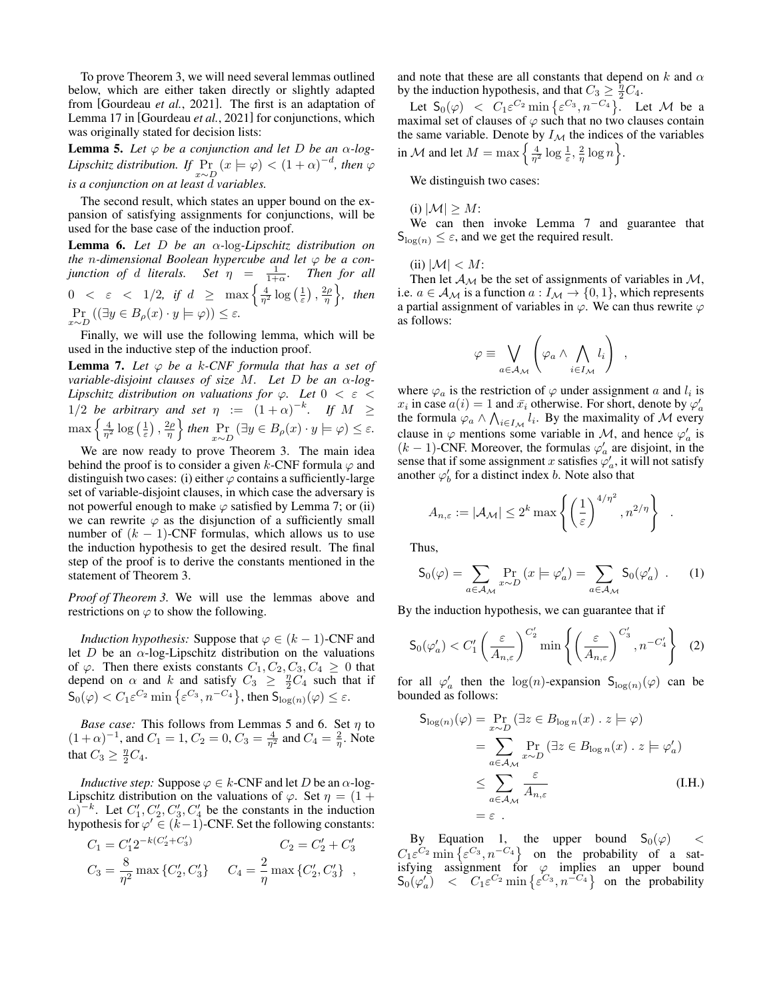To prove Theorem [3,](#page-2-2) we will need several lemmas outlined below, which are either taken directly or slightly adapted from [\[Gourdeau](#page-6-0) *et al.*, 2021]. The first is an adaptation of Lemma 17 in [\[Gourdeau](#page-6-0) *et al.*, 2021] for conjunctions, which was originally stated for decision lists:

<span id="page-3-1"></span>**Lemma 5.** Let  $\varphi$  be a conjunction and let D be an  $\alpha$ -log-*Lipschitz distribution.* If  $\Pr_{x \sim D} (x \models \varphi) < (1 + \alpha)^{-d}$ , then  $\varphi$ *is a conjunction on at least* d *variables.*

The second result, which states an upper bound on the expansion of satisfying assignments for conjunctions, will be used for the base case of the induction proof.

<span id="page-3-2"></span>Lemma 6. *Let* D *be an* α*-*log*-Lipschitz distribution on the* n*-dimensional Boolean hypercube and let* φ *be a conjunction of d literals.* Set  $\eta = \frac{1}{1+\alpha}$ *. Then for all*  $0 \< \varepsilon \< \ 1/2$ , if  $d \geq \max \left\{ \frac{4}{\eta^2} \log \left( \frac{1}{\varepsilon} \right), \frac{2\rho}{\eta} \right\}$ , then  $\Pr_{x \sim D} ((\exists y \in B_{\rho}(x) \cdot y \models \varphi)) \le \varepsilon.$ 

Finally, we will use the following lemma, which will be used in the inductive step of the induction proof.

<span id="page-3-0"></span>**Lemma 7.** Let  $\varphi$  be a k-CNF formula that has a set of *variable-disjoint clauses of size* M*. Let* D *be an* α*-log-Lipschitz distribution on valuations for* φ*. Let* 0 < ε < 1/2 *be arbitrary and set*  $\eta := (1+\alpha)^{-k}$ *. If*  $M \geq$  $\max\left\{\frac{4}{\eta^2}\log\left(\frac{1}{\varepsilon}\right),\frac{2\rho}{\eta}\right\}$  then  $\Pr_{x\sim D}\left(\exists y\in B_\rho(x)\cdot y\models\varphi\right)\leq\varepsilon$ .

We are now ready to prove Theorem [3.](#page-2-2) The main idea behind the proof is to consider a given k-CNF formula  $\varphi$  and distinguish two cases: (i) either  $\varphi$  contains a sufficiently-large set of variable-disjoint clauses, in which case the adversary is not powerful enough to make  $\varphi$  satisfied by Lemma [7;](#page-3-0) or (ii) we can rewrite  $\varphi$  as the disjunction of a sufficiently small number of  $(k - 1)$ -CNF formulas, which allows us to use the induction hypothesis to get the desired result. The final step of the proof is to derive the constants mentioned in the statement of Theorem [3.](#page-2-2)

*Proof of Theorem [3.](#page-2-2)* We will use the lemmas above and restrictions on  $\varphi$  to show the following.

*Induction hypothesis:* Suppose that  $\varphi \in (k-1)$ -CNF and let D be an  $\alpha$ -log-Lipschitz distribution on the valuations of  $\varphi$ . Then there exists constants  $C_1, C_2, C_3, C_4 \geq 0$  that depend on  $\alpha$  and k and satisfy  $C_3 \geq \frac{\eta}{2} C_4$  such that if  $\mathsf{S}_0(\varphi) < C_1 \varepsilon^{C_2} \min \left\{ \varepsilon^{C_3}, n^{-C_4} \right\}$ , then  $\mathsf{S}_{\log(n)}(\varphi) \le \varepsilon$ .

*Base case:* This follows from Lemmas [5](#page-3-1) and [6.](#page-3-2) Set  $\eta$  to  $(1+\alpha)^{-1}$ , and  $C_1 = 1$ ,  $C_2 = 0$ ,  $C_3 = \frac{4}{\eta^2}$  and  $C_4 = \frac{2}{\eta}$ . Note that  $C_3 \geq \frac{\eta}{2} C_4$ .

*Inductive step:* Suppose  $\varphi \in k$ -CNF and let D be an  $\alpha$ -log-Lipschitz distribution on the valuations of  $\varphi$ . Set  $\eta = (1 +$  $\alpha$ )<sup>-k</sup>. Let  $C'_1, C'_2, C'_3, C'_4$  be the constants in the induction hypothesis for  $\varphi \in (k-1)$ -CNF. Set the following constants:

$$
C_1 = C'_1 2^{-k(C'_2 + C'_3)}
$$
  
\n
$$
C_3 = \frac{8}{\eta^2} \max \{C'_2, C'_3\}
$$
  
\n
$$
C_4 = \frac{2}{\eta} \max \{C'_2, C'_3\},
$$

and note that these are all constants that depend on k and  $\alpha$ by the induction hypothesis, and that  $C_3 \geq \frac{\eta}{2} C_4$ .

Let  $S_0(\varphi) < C_1 \varepsilon^{C_2} \min \{ \varepsilon^{C_3}, n^{-C_4} \}.$  Let M be a maximal set of clauses of  $\varphi$  such that no two clauses contain the same variable. Denote by  $I_{\mathcal{M}}$  the indices of the variables in M and let  $M = \max\left\{\frac{4}{\eta^2}\log\frac{1}{\varepsilon}, \frac{2}{\eta}\log n\right\}.$ 

We distinguish two cases:

(i)  $|M| \geq M$ :

We can then invoke Lemma [7](#page-3-0) and guarantee that  $S_{\log(n)} \leq \varepsilon$ , and we get the required result.

(ii)  $|M| < M$ :

Then let  $\mathcal{A}_{\mathcal{M}}$  be the set of assignments of variables in  $\mathcal{M}$ , i.e.  $a \in A_{\mathcal{M}}$  is a function  $a: I_{\mathcal{M}} \to \{0, 1\}$ , which represents a partial assignment of variables in  $\varphi$ . We can thus rewrite  $\varphi$ as follows:

$$
\varphi \equiv \bigvee_{a \in \mathcal{A}_{\mathcal{M}}} \left( \varphi_a \wedge \bigwedge_{i \in I_{\mathcal{M}}} l_i \right) ,
$$

where  $\varphi_a$  is the restriction of  $\varphi$  under assignment a and  $l_i$  is  $x_i$  in case  $a(i) = 1$  and  $\bar{x_i}$  otherwise. For short, denote by  $\varphi'_a$ the formula  $\varphi_a \wedge \bigwedge_{i \in I_{\mathcal{M}}} l_i$ . By the maximality of M every clause in  $\varphi$  mentions some variable in M, and hence  $\varphi'_a$  is  $(k-1)$ -CNF. Moreover, the formulas  $\varphi'_a$  are disjoint, in the sense that if some assignment x satisfies  $\varphi'_a$ , it will not satisfy another  $\varphi'_b$  for a distinct index b. Note also that

$$
A_{n,\varepsilon} := |\mathcal{A}_{\mathcal{M}}| \leq 2^k \max \left\{ \left( \frac{1}{\varepsilon} \right)^{4/\eta^2}, n^{2/\eta} \right\} .
$$

Thus,

<span id="page-3-3"></span>
$$
S_0(\varphi) = \sum_{a \in A_{\mathcal{M}}} \Pr_{x \sim D} \left( x \models \varphi'_a \right) = \sum_{a \in A_{\mathcal{M}}} S_0(\varphi'_a) \quad . \tag{1}
$$

By the induction hypothesis, we can guarantee that if

<span id="page-3-4"></span>
$$
\mathsf{S}_{0}(\varphi_{a}') < C_{1}'\left(\frac{\varepsilon}{A_{n,\varepsilon}}\right)^{C_{2}'} \min\left\{\left(\frac{\varepsilon}{A_{n,\varepsilon}}\right)^{C_{3}'} , n^{-C_{4}'}\right\} \tag{2}
$$

for all  $\varphi'_a$  then the  $\log(n)$ -expansion  $S_{\log(n)}(\varphi)$  can be bounded as follows:

$$
S_{\log(n)}(\varphi) = \Pr_{x \sim D} (\exists z \in B_{\log n}(x) \cdot z \models \varphi)
$$
  
= 
$$
\sum_{a \in A_{\mathcal{M}}} \Pr_{x \sim D} (\exists z \in B_{\log n}(x) \cdot z \models \varphi'_a)
$$
  

$$
\leq \sum_{a \in A_{\mathcal{M}}} \frac{\varepsilon}{A_{n,\varepsilon}}
$$
(I.H.)  
= 
$$
\varepsilon
$$
.

By Equation [1,](#page-3-3) the upper bound  $S_0(\varphi)$  <  $C_1 \varepsilon^{C_2}$  min  $\{\varepsilon^{C_3}, n^{-C_4}\}\$  on the probability of a satisfying assignment for  $\varphi$  implies an upper bound  $\mathsf{S}_0(\varphi_a')$  <  $C_1 \varepsilon^{C_2} \min \left\{ \varepsilon^{C_3}, n^{-C_4} \right\}$  on the probability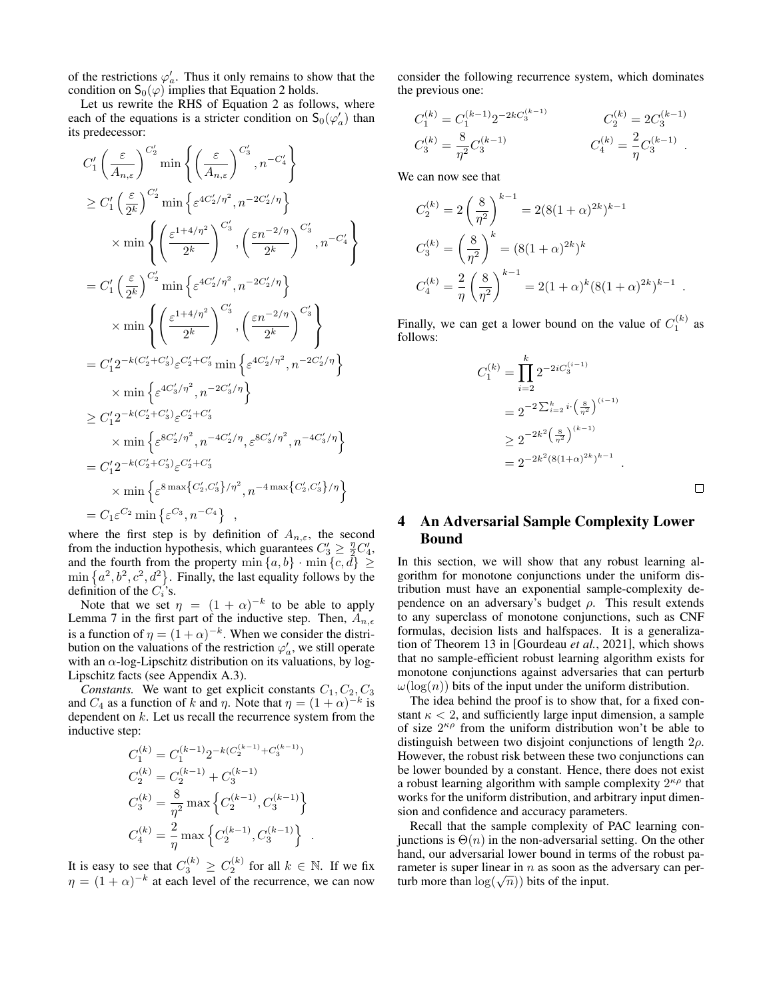of the restrictions  $\varphi'_a$ . Thus it only remains to show that the condition on  $S_0(\varphi)$  implies that Equation [2](#page-3-4) holds.

Let us rewrite the RHS of Equation [2](#page-3-4) as follows, where each of the equations is a stricter condition on  $S_0(\varphi_a)$  than its predecessor:

$$
C'_{1}\left(\frac{\varepsilon}{A_{n,\varepsilon}}\right)^{C'_{2}}\min\left\{\left(\frac{\varepsilon}{A_{n,\varepsilon}}\right)^{C'_{3}}, n^{-C'_{4}}\right\}
$$
  
\n
$$
\geq C'_{1}\left(\frac{\varepsilon}{2^{k}}\right)^{C'_{2}}\min\left\{\varepsilon^{4C'_{2}/\eta^{2}}, n^{-2C'_{2}/\eta}\right\}
$$
  
\n
$$
\times \min\left\{\left(\frac{\varepsilon^{1+4/\eta^{2}}}{2^{k}}\right)^{C'_{3}}, \left(\frac{\varepsilon n^{-2/\eta}}{2^{k}}\right)^{C'_{3}}, n^{-C'_{4}}\right\}
$$
  
\n
$$
= C'_{1}\left(\frac{\varepsilon}{2^{k}}\right)^{C'_{2}}\min\left\{\varepsilon^{4C'_{2}/\eta^{2}}, n^{-2C'_{2}/\eta}\right\}
$$
  
\n
$$
\times \min\left\{\left(\frac{\varepsilon^{1+4/\eta^{2}}}{2^{k}}\right)^{C'_{3}}, \left(\frac{\varepsilon n^{-2/\eta}}{2^{k}}\right)^{C'_{3}}\right\}
$$
  
\n
$$
= C'_{1}2^{-k(C'_{2}+C'_{3})}\varepsilon^{C'_{2}+C'_{3}}\min\left\{\varepsilon^{4C'_{2}/\eta^{2}}, n^{-2C'_{2}/\eta}\right\}
$$
  
\n
$$
\times \min\left\{\varepsilon^{4C'_{3}/\eta^{2}}, n^{-2C'_{3}/\eta}\right\}
$$
  
\n
$$
\geq C'_{1}2^{-k(C'_{2}+C'_{3})}\varepsilon^{C'_{2}+C'_{3}}
$$
  
\n
$$
\times \min\left\{\varepsilon^{8C'_{2}/\eta^{2}}, n^{-4C'_{2}/\eta}, \varepsilon^{8C'_{3}/\eta^{2}}, n^{-4C'_{3}/\eta}\right\}
$$
  
\n
$$
= C'_{1}2^{-k(C'_{2}+C'_{3})}\varepsilon^{C'_{2}+C'_{3}}
$$
  
\n
$$
\times \min\left\{\varepsilon^{8}\max\{c'_{2}, c'_{3}\}/\eta^{2}, n^{-4}\max\{c'_{2}, c'_{3}\}/\eta\right\}
$$
  
\n $$ 

where the first step is by definition of  $A_{n,\varepsilon}$ , the second from the induction hypothesis, which guarantees  $C_3' \geq \frac{\eta}{2} C_4'$ , and the fourth from the property  $\min\{a, b\} \cdot \min\{c, d\} \ge$  $\min\left\{a^2, b^2, c^2, d^2\right\}$ . Finally, the last equality follows by the definition of the  $C_i$ 's.

Note that we set  $\eta = (1 + \alpha)^{-k}$  to be able to apply Lemma [7](#page-3-0) in the first part of the inductive step. Then,  $A_{n,\epsilon}$ is a function of  $\eta = (1 + \alpha)^{-k}$ . When we consider the distribution on the valuations of the restriction  $\varphi'_a$ , we still operate with an  $\alpha$ -log-Lipschitz distribution on its valuations, by log-Lipschitz facts (see Appendix [A.3\)](#page-7-3).

*Constants.* We want to get explicit constants  $C_1, C_2, C_3$ and  $C_4$  as a function of k and  $\eta$ . Note that  $\eta = (1 + \alpha)^{-k}$  is dependent on  $k$ . Let us recall the recurrence system from the inductive step:

$$
C_1^{(k)} = C_1^{(k-1)} 2^{-k(C_2^{(k-1)} + C_3^{(k-1)})}
$$
  
\n
$$
C_2^{(k)} = C_2^{(k-1)} + C_3^{(k-1)}
$$
  
\n
$$
C_3^{(k)} = \frac{8}{\eta^2} \max \left\{ C_2^{(k-1)}, C_3^{(k-1)} \right\}
$$
  
\n
$$
C_4^{(k)} = \frac{2}{\eta} \max \left\{ C_2^{(k-1)}, C_3^{(k-1)} \right\}.
$$

It is easy to see that  $C_3^{(k)} \ge C_2^{(k)}$  for all  $k \in \mathbb{N}$ . If we fix  $\eta = (1 + \alpha)^{-k}$  at each level of the recurrence, we can now consider the following recurrence system, which dominates the previous one:

$$
\begin{aligned} C_1^{(k)} &= C_1^{(k-1)} 2^{-2k C_3^{(k-1)}} \qquad \qquad C_2^{(k)} = 2 C_3^{(k-1)} \\ C_3^{(k)} &= \frac{8}{\eta^2} C_3^{(k-1)} \qquad \qquad C_4^{(k)} = \frac{2}{\eta} C_3^{(k-1)} \ . \end{aligned}
$$

We can now see that

$$
C_2^{(k)} = 2\left(\frac{8}{\eta^2}\right)^{k-1} = 2(8(1+\alpha)^{2k})^{k-1}
$$
  
\n
$$
C_3^{(k)} = \left(\frac{8}{\eta^2}\right)^k = (8(1+\alpha)^{2k})^k
$$
  
\n
$$
C_4^{(k)} = \frac{2}{\eta} \left(\frac{8}{\eta^2}\right)^{k-1} = 2(1+\alpha)^k (8(1+\alpha)^{2k})^{k-1}
$$

Finally, we can get a lower bound on the value of  $C_1^{(k)}$  as follows:

$$
C_1^{(k)} = \prod_{i=2}^k 2^{-2iC_3^{(i-1)}}
$$
  
=  $2^{-2\sum_{i=2}^k i \left(\frac{8}{\eta^2}\right)^{(i-1)}}$   
 $\geq 2^{-2k^2 \left(\frac{8}{\eta^2}\right)^{(k-1)}}$   
=  $2^{-2k^2 (8(1+\alpha)^{2k})^{k-1}}$ .

# $\Box$

.

# 4 An Adversarial Sample Complexity Lower Bound

In this section, we will show that any robust learning algorithm for monotone conjunctions under the uniform distribution must have an exponential sample-complexity dependence on an adversary's budget  $\rho$ . This result extends to any superclass of monotone conjunctions, such as CNF formulas, decision lists and halfspaces. It is a generalization of Theorem 13 in [\[Gourdeau](#page-6-0) *et al.*, 2021], which shows that no sample-efficient robust learning algorithm exists for monotone conjunctions against adversaries that can perturb  $\omega(\log(n))$  bits of the input under the uniform distribution.

The idea behind the proof is to show that, for a fixed constant  $\kappa$  < 2, and sufficiently large input dimension, a sample of size  $2^{\kappa \rho}$  from the uniform distribution won't be able to distinguish between two disjoint conjunctions of length  $2\rho$ . However, the robust risk between these two conjunctions can be lower bounded by a constant. Hence, there does not exist a robust learning algorithm with sample complexity  $2^{\kappa \rho}$  that works for the uniform distribution, and arbitrary input dimension and confidence and accuracy parameters.

Recall that the sample complexity of PAC learning conjunctions is  $\Theta(n)$  in the non-adversarial setting. On the other hand, our adversarial lower bound in terms of the robust parameter is super linear in  $n$  as soon as the adversary can perrameter is super linear in *n* as soon as the turb more than  $log(\sqrt{n}))$  bits of the input.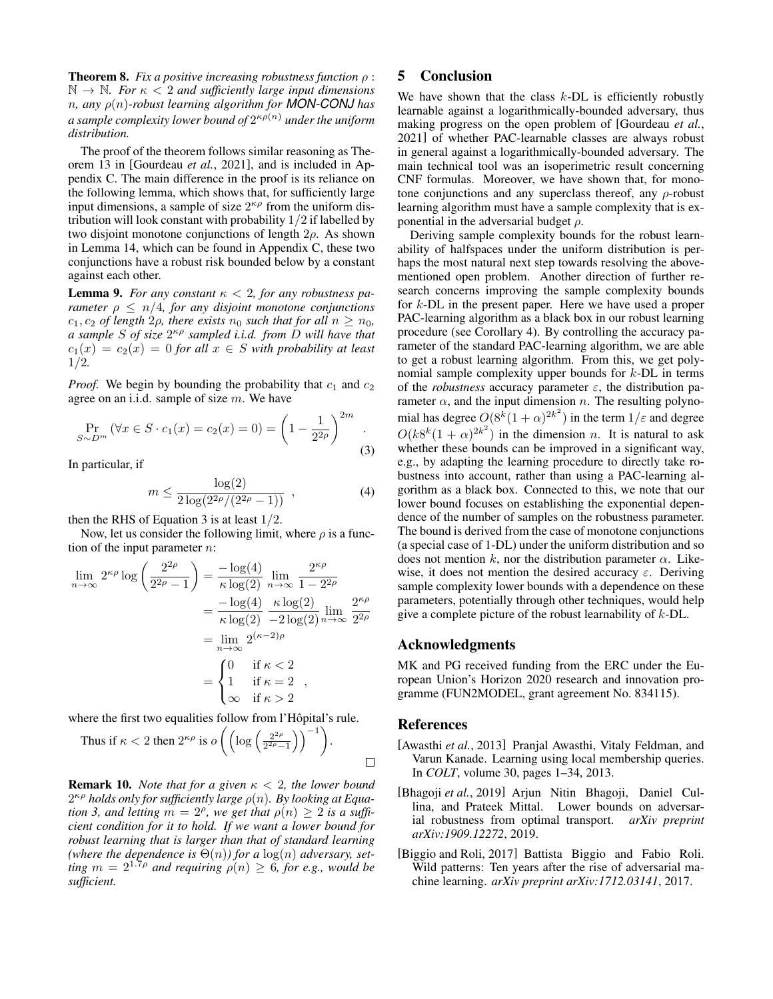<span id="page-5-4"></span>Theorem 8. *Fix a positive increasing robustness function* ρ :  $\mathbb{N} \to \mathbb{N}$ *. For*  $\kappa < 2$  *and sufficiently large input dimensions* n*, any* ρ(n)*-robust learning algorithm for MON-CONJ has a sample complexity lower bound of* 2 κρ(n) *under the uniform distribution.*

The proof of the theorem follows similar reasoning as Theorem 13 in [\[Gourdeau](#page-6-0) *et al.*, 2021], and is included in Appendix [C.](#page-7-4) The main difference in the proof is its reliance on the following lemma, which shows that, for sufficiently large input dimensions, a sample of size  $2^{\kappa \rho}$  from the uniform distribution will look constant with probability 1/2 if labelled by two disjoint monotone conjunctions of length  $2\rho$ . As shown in Lemma [14,](#page-7-5) which can be found in Appendix [C,](#page-7-4) these two conjunctions have a robust risk bounded below by a constant against each other.

<span id="page-5-5"></span>**Lemma 9.** For any constant  $\kappa < 2$ , for any robustness pa*rameter*  $\rho \leq n/4$ *, for any disjoint monotone conjunctions*  $c_1, c_2$  *of length*  $2\rho$ *, there exists*  $n_0$  *such that for all*  $n \geq n_0$ *, a sample* S *of size* 2 κρ *sampled i.i.d. from* D *will have that*  $c_1(x) = c_2(x) = 0$  *for all*  $x \in S$  *with probability at least* 1/2*.*

*Proof.* We begin by bounding the probability that  $c_1$  and  $c_2$ agree on an i.i.d. sample of size  $m$ . We have

<span id="page-5-3"></span>
$$
\Pr_{S \sim D^m} (\forall x \in S \cdot c_1(x) = c_2(x) = 0) = \left(1 - \frac{1}{2^{2\rho}}\right)^{2m} .
$$
\n(3)

In particular, if

<span id="page-5-6"></span>
$$
m \le \frac{\log(2)}{2\log(2^{2\rho}/(2^{2\rho}-1))} , \qquad (4)
$$

then the RHS of Equation [3](#page-5-3) is at least  $1/2$ .

Now, let us consider the following limit, where  $\rho$  is a function of the input parameter  $n$ :

$$
\lim_{n \to \infty} 2^{\kappa \rho} \log \left( \frac{2^{2\rho}}{2^{2\rho} - 1} \right) = \frac{-\log(4)}{\kappa \log(2)} \lim_{n \to \infty} \frac{2^{\kappa \rho}}{1 - 2^{2\rho}}
$$

$$
= \frac{-\log(4)}{\kappa \log(2)} \frac{\kappa \log(2)}{-2 \log(2)} \lim_{n \to \infty} \frac{2^{\kappa \rho}}{2^{2\rho}}
$$

$$
= \lim_{n \to \infty} 2^{(\kappa - 2)\rho}
$$

$$
= \begin{cases} 0 & \text{if } \kappa < 2 \\ 1 & \text{if } \kappa = 2 \\ \infty & \text{if } \kappa > 2 \end{cases}
$$

where the first two equalities follow from l'Hôpital's rule.

Thus if 
$$
\kappa < 2
$$
 then  $2^{\kappa \rho}$  is  $o\left(\left(\log\left(\frac{2^{2\rho}}{2^{2\rho}-1}\right)\right)^{-1}\right)$ .

Remark 10. *Note that for a given* κ < 2*, the lower bound*  $2^{\kappa \rho}$  holds only for sufficiently large  $\rho(n)$ . By looking at Equa*tion* [3,](#page-5-3) and letting  $\ddot{m} = 2^{\rho}$ , we get that  $\rho(n) \geq 2$  is a suffi*cient condition for it to hold. If we want a lower bound for robust learning that is larger than that of standard learning* (where the dependence is  $\Theta(n)$ ) for a  $\log(n)$  adversary, set*ting*  $m = 2^{1.7\rho}$  *and requiring*  $\rho(n) \geq 6$ *, for e.g., would be sufficient.*

# 5 Conclusion

We have shown that the class  $k$ -DL is efficiently robustly learnable against a logarithmically-bounded adversary, thus making progress on the open problem of [\[Gourdeau](#page-6-0) *et al.*, [2021\]](#page-6-0) of whether PAC-learnable classes are always robust in general against a logarithmically-bounded adversary. The main technical tool was an isoperimetric result concerning CNF formulas. Moreover, we have shown that, for monotone conjunctions and any superclass thereof, any  $\rho$ -robust learning algorithm must have a sample complexity that is exponential in the adversarial budget  $\rho$ .

Deriving sample complexity bounds for the robust learnability of halfspaces under the uniform distribution is perhaps the most natural next step towards resolving the abovementioned open problem. Another direction of further research concerns improving the sample complexity bounds for k-DL in the present paper. Here we have used a proper PAC-learning algorithm as a black box in our robust learning procedure (see Corollary [4\)](#page-2-1). By controlling the accuracy parameter of the standard PAC-learning algorithm, we are able to get a robust learning algorithm. From this, we get polynomial sample complexity upper bounds for k-DL in terms of the *robustness* accuracy parameter  $\varepsilon$ , the distribution parameter  $\alpha$ , and the input dimension n. The resulting polynomial has degree  $O(8^k(1+\alpha)^{2k^2})$  in the term  $1/\varepsilon$  and degree  $O(k8^k(1+\alpha)^{2k^2})$  in the dimension n. It is natural to ask whether these bounds can be improved in a significant way, e.g., by adapting the learning procedure to directly take robustness into account, rather than using a PAC-learning algorithm as a black box. Connected to this, we note that our lower bound focuses on establishing the exponential dependence of the number of samples on the robustness parameter. The bound is derived from the case of monotone conjunctions (a special case of 1-DL) under the uniform distribution and so does not mention k, nor the distribution parameter  $\alpha$ . Likewise, it does not mention the desired accuracy  $\varepsilon$ . Deriving sample complexity lower bounds with a dependence on these parameters, potentially through other techniques, would help give a complete picture of the robust learnability of  $k$ -DL.

### Acknowledgments

MK and PG received funding from the ERC under the European Union's Horizon 2020 research and innovation programme (FUN2MODEL, grant agreement No. 834115).

#### References

- <span id="page-5-2"></span>[Awasthi *et al.*, 2013] Pranjal Awasthi, Vitaly Feldman, and Varun Kanade. Learning using local membership queries. In *COLT*, volume 30, pages 1–34, 2013.
- <span id="page-5-1"></span>[Bhagoji *et al.*, 2019] Arjun Nitin Bhagoji, Daniel Cullina, and Prateek Mittal. Lower bounds on adversarial robustness from optimal transport. *arXiv preprint arXiv:1909.12272*, 2019.
- <span id="page-5-0"></span>[Biggio and Roli, 2017] Battista Biggio and Fabio Roli. Wild patterns: Ten years after the rise of adversarial machine learning. *arXiv preprint arXiv:1712.03141*, 2017.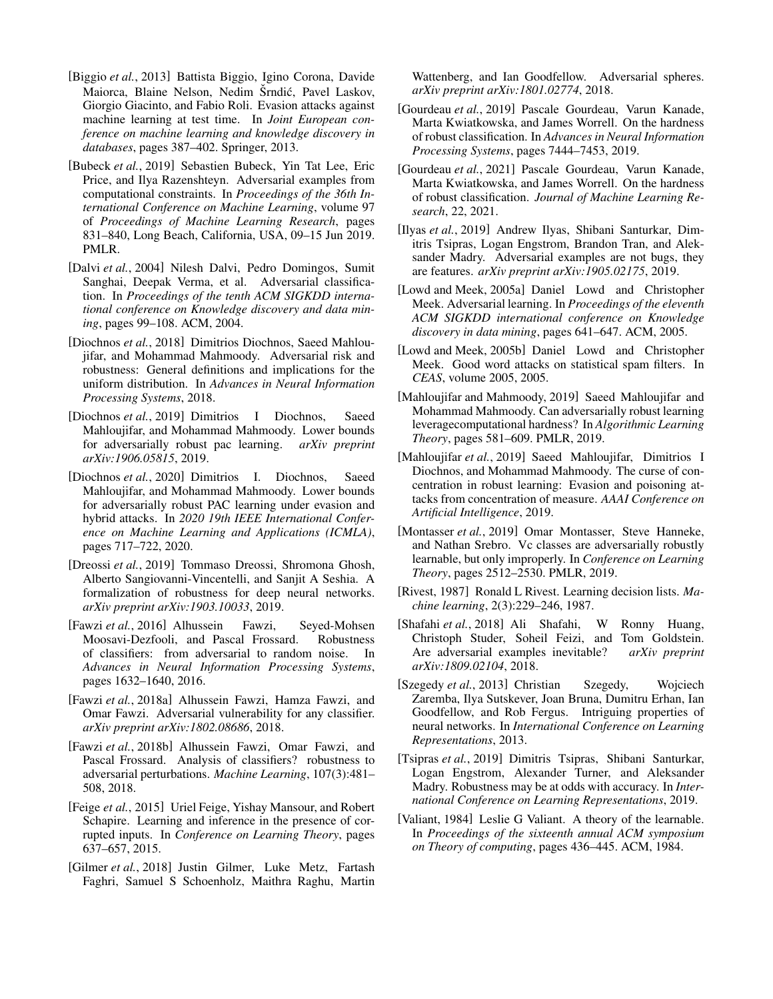- <span id="page-6-5"></span>[Biggio *et al.*, 2013] Battista Biggio, Igino Corona, Davide Maiorca, Blaine Nelson, Nedim Šrndić, Pavel Laskov, Giorgio Giacinto, and Fabio Roli. Evasion attacks against machine learning at test time. In *Joint European conference on machine learning and knowledge discovery in databases*, pages 387–402. Springer, 2013.
- <span id="page-6-8"></span>[Bubeck *et al.*, 2019] Sebastien Bubeck, Yin Tat Lee, Eric Price, and Ilya Razenshteyn. Adversarial examples from computational constraints. In *Proceedings of the 36th International Conference on Machine Learning*, volume 97 of *Proceedings of Machine Learning Research*, pages 831–840, Long Beach, California, USA, 09–15 Jun 2019. PMLR.
- <span id="page-6-1"></span>[Dalvi *et al.*, 2004] Nilesh Dalvi, Pedro Domingos, Sumit Sanghai, Deepak Verma, et al. Adversarial classification. In *Proceedings of the tenth ACM SIGKDD international conference on Knowledge discovery and data mining*, pages 99–108. ACM, 2004.
- <span id="page-6-7"></span>[Diochnos *et al.*, 2018] Dimitrios Diochnos, Saeed Mahloujifar, and Mohammad Mahmoody. Adversarial risk and robustness: General definitions and implications for the uniform distribution. In *Advances in Neural Information Processing Systems*, 2018.
- <span id="page-6-18"></span>[Diochnos *et al.*, 2019] Dimitrios I Diochnos, Saeed Mahloujifar, and Mohammad Mahmoody. Lower bounds for adversarially robust pac learning. *arXiv preprint arXiv:1906.05815*, 2019.
- <span id="page-6-19"></span>[Diochnos *et al.*, 2020] Dimitrios I. Diochnos, Saeed Mahloujifar, and Mohammad Mahmoody. Lower bounds for adversarially robust PAC learning under evasion and hybrid attacks. In *2020 19th IEEE International Conference on Machine Learning and Applications (ICMLA)*, pages 717–722, 2020.
- <span id="page-6-6"></span>[Dreossi *et al.*, 2019] Tommaso Dreossi, Shromona Ghosh, Alberto Sangiovanni-Vincentelli, and Sanjit A Seshia. A formalization of robustness for deep neural networks. *arXiv preprint arXiv:1903.10033*, 2019.
- <span id="page-6-11"></span>[Fawzi *et al.*, 2016] Alhussein Fawzi, Seyed-Mohsen Moosavi-Dezfooli, and Pascal Frossard. Robustness of classifiers: from adversarial to random noise. In *Advances in Neural Information Processing Systems*, pages 1632–1640, 2016.
- <span id="page-6-12"></span>[Fawzi *et al.*, 2018a] Alhussein Fawzi, Hamza Fawzi, and Omar Fawzi. Adversarial vulnerability for any classifier. *arXiv preprint arXiv:1802.08686*, 2018.
- <span id="page-6-13"></span>[Fawzi *et al.*, 2018b] Alhussein Fawzi, Omar Fawzi, and Pascal Frossard. Analysis of classifiers? robustness to adversarial perturbations. *Machine Learning*, 107(3):481– 508, 2018.
- <span id="page-6-23"></span>[Feige *et al.*, 2015] Uriel Feige, Yishay Mansour, and Robert Schapire. Learning and inference in the presence of corrupted inputs. In *Conference on Learning Theory*, pages 637–657, 2015.
- <span id="page-6-14"></span>[Gilmer *et al.*, 2018] Justin Gilmer, Luke Metz, Fartash Faghri, Samuel S Schoenholz, Maithra Raghu, Martin

Wattenberg, and Ian Goodfellow. Adversarial spheres. *arXiv preprint arXiv:1801.02774*, 2018.

- <span id="page-6-10"></span>[Gourdeau *et al.*, 2019] Pascale Gourdeau, Varun Kanade, Marta Kwiatkowska, and James Worrell. On the hardness of robust classification. In *Advances in Neural Information Processing Systems*, pages 7444–7453, 2019.
- <span id="page-6-0"></span>[Gourdeau *et al.*, 2021] Pascale Gourdeau, Varun Kanade, Marta Kwiatkowska, and James Worrell. On the hardness of robust classification. *Journal of Machine Learning Research*, 22, 2021.
- <span id="page-6-17"></span>[Ilyas *et al.*, 2019] Andrew Ilyas, Shibani Santurkar, Dimitris Tsipras, Logan Engstrom, Brandon Tran, and Aleksander Madry. Adversarial examples are not bugs, they are features. *arXiv preprint arXiv:1905.02175*, 2019.
- <span id="page-6-2"></span>[Lowd and Meek, 2005a] Daniel Lowd and Christopher Meek. Adversarial learning. In *Proceedings of the eleventh ACM SIGKDD international conference on Knowledge discovery in data mining*, pages 641–647. ACM, 2005.
- <span id="page-6-3"></span>[Lowd and Meek, 2005b] Daniel Lowd and Christopher Meek. Good word attacks on statistical spam filters. In *CEAS*, volume 2005, 2005.
- <span id="page-6-20"></span>[Mahloujifar and Mahmoody, 2019] Saeed Mahloujifar and Mohammad Mahmoody. Can adversarially robust learning leveragecomputational hardness? In *Algorithmic Learning Theory*, pages 581–609. PMLR, 2019.
- <span id="page-6-21"></span>[Mahloujifar *et al.*, 2019] Saeed Mahloujifar, Dimitrios I Diochnos, and Mohammad Mahmoody. The curse of concentration in robust learning: Evasion and poisoning attacks from concentration of measure. *AAAI Conference on Artificial Intelligence*, 2019.
- <span id="page-6-9"></span>[Montasser *et al.*, 2019] Omar Montasser, Steve Hanneke, and Nathan Srebro. Vc classes are adversarially robustly learnable, but only improperly. In *Conference on Learning Theory*, pages 2512–2530. PMLR, 2019.
- <span id="page-6-24"></span>[Rivest, 1987] Ronald L Rivest. Learning decision lists. *Machine learning*, 2(3):229–246, 1987.
- <span id="page-6-15"></span>[Shafahi *et al.*, 2018] Ali Shafahi, W Ronny Huang, Christoph Studer, Soheil Feizi, and Tom Goldstein. Are adversarial examples inevitable? *arXiv preprint arXiv:1809.02104*, 2018.
- <span id="page-6-4"></span>[Szegedy et al., 2013] Christian Szegedy, Wojciech Zaremba, Ilya Sutskever, Joan Bruna, Dumitru Erhan, Ian Goodfellow, and Rob Fergus. Intriguing properties of neural networks. In *International Conference on Learning Representations*, 2013.
- <span id="page-6-16"></span>[Tsipras *et al.*, 2019] Dimitris Tsipras, Shibani Santurkar, Logan Engstrom, Alexander Turner, and Aleksander Madry. Robustness may be at odds with accuracy. In *International Conference on Learning Representations*, 2019.
- <span id="page-6-22"></span>[Valiant, 1984] Leslie G Valiant. A theory of the learnable. In *Proceedings of the sixteenth annual ACM symposium on Theory of computing*, pages 436–445. ACM, 1984.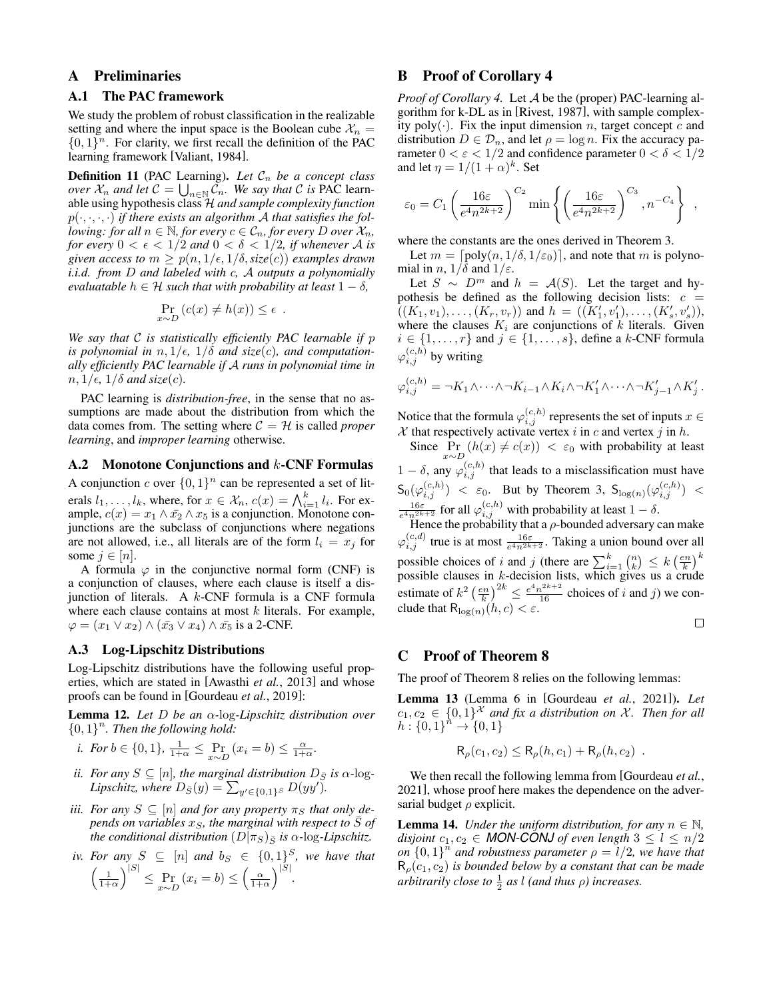# A Preliminaries

### <span id="page-7-0"></span>A.1 The PAC framework

We study the problem of robust classification in the realizable setting and where the input space is the Boolean cube  $\mathcal{X}_n =$  $\{0,1\}^n$ . For clarity, we first recall the definition of the PAC learning framework [\[Valiant, 1984\]](#page-6-22).

**Definition 11** (PAC Learning). Let  $C_n$  be a concept class *over*  $\mathcal{X}_n$  and let  $\mathcal{C} = \bigcup_{n \in \mathbb{N}} \mathcal{C}_n$ . We say that  $\mathcal{C}$  is PAC learnable using hypothesis class H *and sample complexity function*  $p(\cdot, \cdot, \cdot, \cdot)$  *if there exists an algorithm A that satisfies the following: for all*  $n \in \mathbb{N}$ *, for every*  $c \in \mathcal{C}_n$ *, for every* D *over*  $\mathcal{X}_n$ *, for every*  $0 < \epsilon < 1/2$  *and*  $0 < \delta < 1/2$ *, if whenever* A *is given access to*  $m > p(n, 1/\epsilon, 1/\delta, \text{size}(c))$  *examples drawn i.i.d. from* D *and labeled with* c*,* A *outputs a polynomially evaluatable*  $h \in \mathcal{H}$  *such that with probability at least*  $1 - \delta$ *,* 

$$
\Pr_{x \sim D} (c(x) \neq h(x)) \leq \epsilon .
$$

*We say that* C *is statistically efficiently PAC learnable if* p *is polynomial in*  $n, 1/\epsilon, 1/\delta$  *and size(c), and computationally efficiently PAC learnable if* A *runs in polynomial time in*  $n, 1/\epsilon, 1/\delta$  and size(c).

PAC learning is *distribution-free*, in the sense that no assumptions are made about the distribution from which the data comes from. The setting where  $C = H$  is called *proper learning*, and *improper learning* otherwise.

### <span id="page-7-1"></span>A.2 Monotone Conjunctions and k-CNF Formulas

A conjunction c over  $\{0,1\}^n$  can be represented a set of literals  $l_1, \ldots, l_k$ , where, for  $x \in \mathcal{X}_n$ ,  $c(x) = \bigwedge_{i=1}^k l_i$ . For example,  $c(x) = x_1 \wedge \overline{x_2} \wedge x_5$  is a conjunction. Monotone conjunctions are the subclass of conjunctions where negations are not allowed, i.e., all literals are of the form  $l_i = x_j$  for some  $j \in [n]$ .

A formula  $\varphi$  in the conjunctive normal form (CNF) is a conjunction of clauses, where each clause is itself a disjunction of literals. A k-CNF formula is a CNF formula where each clause contains at most  $k$  literals. For example,  $\varphi = (x_1 \vee x_2) \wedge (\bar{x_3} \vee x_4) \wedge \bar{x_5}$  is a 2-CNF.

### <span id="page-7-3"></span>A.3 Log-Lipschitz Distributions

Log-Lipschitz distributions have the following useful properties, which are stated in [\[Awasthi](#page-5-2) *et al.*, 2013] and whose proofs can be found in [\[Gourdeau](#page-6-10) *et al.*, 2019]:

Lemma 12. *Let* D *be an* α*-*log*-Lipschitz distribution over*  ${0,1}^n$ . Then the following hold:

*i.* For 
$$
b \in \{0, 1\}
$$
,  $\frac{1}{1+\alpha} \leq \Pr_{x \sim D} (x_i = b) \leq \frac{\alpha}{1+\alpha}$ .

- *ii. For any*  $S \subseteq [n]$ *, the marginal distribution*  $D_{\overline{S}}$  *is*  $\alpha$ -log-*Lipschitz, where*  $D_{\bar{S}}(y) = \sum_{y' \in \{0,1\}^S} D(yy')$ .
- *iii. For any*  $S \subseteq [n]$  *and for any property*  $\pi_S$  *that only depends on variables*  $x_S$ *, the marginal with respect to*  $\overline{S}$  *of the conditional distribution*  $(D|\pi_S)_{\bar{S}}$  *is*  $\alpha$ -log-*Lipschitz*.

*iv. For any* 
$$
S \subseteq [n]
$$
 *and*  $b_S \in \{0,1\}^S$ , *we have that*  $\left(\frac{1}{1+\alpha}\right)^{|S|} \le \Pr_{x \sim D} (x_i = b) \le \left(\frac{\alpha}{1+\alpha}\right)^{|S|}$ .

# <span id="page-7-2"></span>B Proof of Corollary [4](#page-2-1)

*Proof of Corollary [4.](#page-2-1)* Let A be the (proper) PAC-learning algorithm for k-DL as in [\[Rivest, 1987\]](#page-6-24), with sample complexity poly( $\cdot$ ). Fix the input dimension *n*, target concept *c* and distribution  $D \in \mathcal{D}_n$ , and let  $\rho = \log n$ . Fix the accuracy parameter  $0 < \varepsilon < 1/2$  and confidence parameter  $0 < \delta < 1/2$ and let  $\eta = 1/(1+\alpha)^k$ . Set

$$
\varepsilon_0 = C_1 \left( \frac{16\varepsilon}{e^4 n^{2k+2}} \right)^{C_2} \min \left\{ \left( \frac{16\varepsilon}{e^4 n^{2k+2}} \right)^{C_3}, n^{-C_4} \right\} ,
$$

where the constants are the ones derived in Theorem [3.](#page-2-2)

Let  $m = \lceil \text{poly}(n, 1/\delta, 1/\varepsilon_0) \rceil$ , and note that m is polynomial in n,  $1/\delta$  and  $1/\epsilon$ .

Let  $S \sim D^m$  and  $h = A(S)$ . Let the target and hypothesis be defined as the following decision lists:  $c =$  $((K_1, v_1), \ldots, (K_r, v_r))$  and  $h = ((K'_1, v'_1), \ldots, (K'_s, v'_s)),$ where the clauses  $K_i$  are conjunctions of k literals. Given  $i \in \{1, \ldots, r\}$  and  $j \in \{1, \ldots, s\}$ , define a k-CNF formula  $\varphi_{i,j}^{(c,h)}$  by writing

$$
\varphi_{i,j}^{(c,h)} = \neg K_1 \wedge \dots \wedge \neg K_{i-1} \wedge K_i \wedge \neg K_1' \wedge \dots \wedge \neg K_{j-1}' \wedge K_j'.
$$

Notice that the formula  $\varphi_{i,j}^{(c,h)}$  represents the set of inputs  $x \in \mathbb{R}$  $X$  that respectively activate vertex i in c and vertex j in h.

Since  $Pr_{x \sim D} (h(x) \neq c(x)) < \varepsilon_0$  with probability at least  $1 - \delta$ , any  $\varphi_{i,j}^{(c,h)}$  that leads to a misclassification must have  $\mathsf{S}_0(\varphi_{i,j}^{(c,h)}) \leq \varepsilon_0$ . But by Theorem [3,](#page-2-2)  $\mathsf{S}_{\log(n)}(\varphi_{i,j}^{(c,h)}) \leq$  $\frac{16\varepsilon}{e^4 n^{2k+2}}$  for all  $\varphi_{i,j}^{(c,h)}$  with probability at least  $1-\delta$ .

Hence the probability that a  $\rho$ -bounded adversary can make  $\varphi_{i,j}^{(c,d)}$  true is at most  $\frac{16\varepsilon}{e^4n^{2k+2}}$ . Taking a union bound over all possible choices of i and j (there are  $\sum_{i=1}^{k} {n \choose k} \leq k \left(\frac{en}{k}\right)^k$ possible clauses in  $k$ -decision lists, which gives us a crude estimate of  $k^2 \left(\frac{en}{k}\right)^{2k} \le \frac{e^4 n^{2k+2}}{16}$  choices of i and j) we conclude that  $R_{\log(n)}(h, c) < \varepsilon$ .

### <span id="page-7-4"></span>C Proof of Theorem [8](#page-5-4)

The proof of Theorem [8](#page-5-4) relies on the following lemmas:

<span id="page-7-6"></span>Lemma 13 (Lemma 6 in [\[Gourdeau](#page-6-0) *et al.*, 2021]). *Let*  $c_1, c_2 \in \{0, 1\}^{\mathcal{X}}$  and fix a distribution on X. Then for all  $h: \{0,1\}^n \to \{0,1\}$ 

$$
R_{\rho}(c_1, c_2) \le R_{\rho}(h, c_1) + R_{\rho}(h, c_2) .
$$

We then recall the following lemma from [\[Gourdeau](#page-6-0) *et al.*, [2021\]](#page-6-0), whose proof here makes the dependence on the adversarial budget  $\rho$  explicit.

<span id="page-7-5"></span>**Lemma 14.** *Under the uniform distribution, for any*  $n \in \mathbb{N}$ *, disjoint*  $c_1, c_2 \in \text{MON-CONJ}$  *of even length*  $3 \leq l \leq n/2$ *on*  $\{0,1\}$ <sup>*n'*</sup> and robustness parameter  $\rho = 1/2$ , we have that  $R_p(c_1, c_2)$  *is bounded below by a constant that can be made arbitrarily close to*  $\frac{1}{2}$  *as l (and thus*  $\rho$ *) increases.*